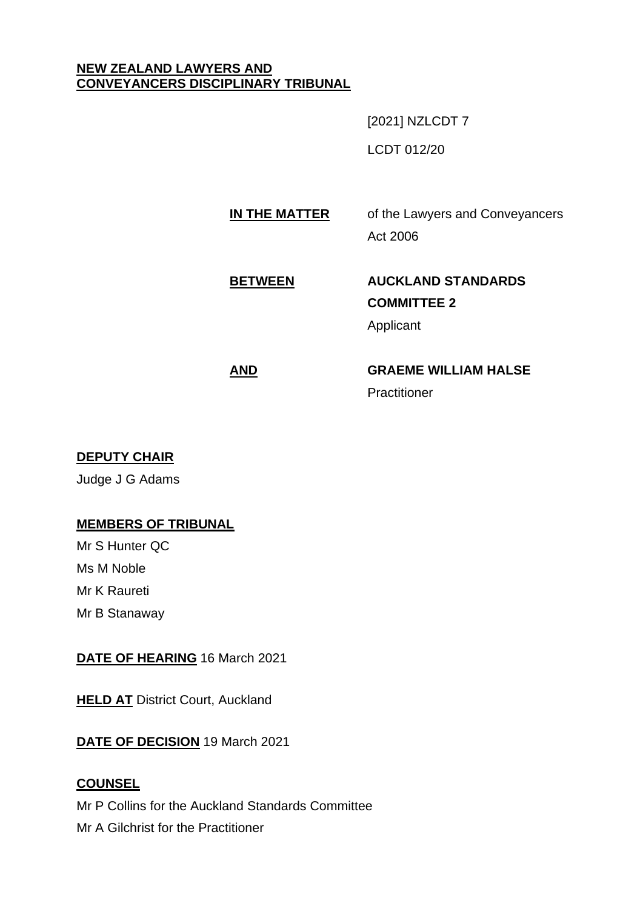#### **NEW ZEALAND LAWYERS AND CONVEYANCERS DISCIPLINARY TRIBUNAL**

[2021] NZLCDT 7

LCDT 012/20

## **IN THE MATTER** of the Lawyers and Conveyancers Act 2006

# **BETWEEN AUCKLAND STANDARDS COMMITTEE 2** Applicant

# **AND GRAEME WILLIAM HALSE**

**Practitioner** 

### **DEPUTY CHAIR**

Judge J G Adams

### **MEMBERS OF TRIBUNAL**

Mr S Hunter QC Ms M Noble Mr K Raureti Mr B Stanaway

### **DATE OF HEARING** 16 March 2021

**HELD AT** District Court, Auckland

**DATE OF DECISION** 19 March 2021

### **COUNSEL**

Mr P Collins for the Auckland Standards Committee Mr A Gilchrist for the Practitioner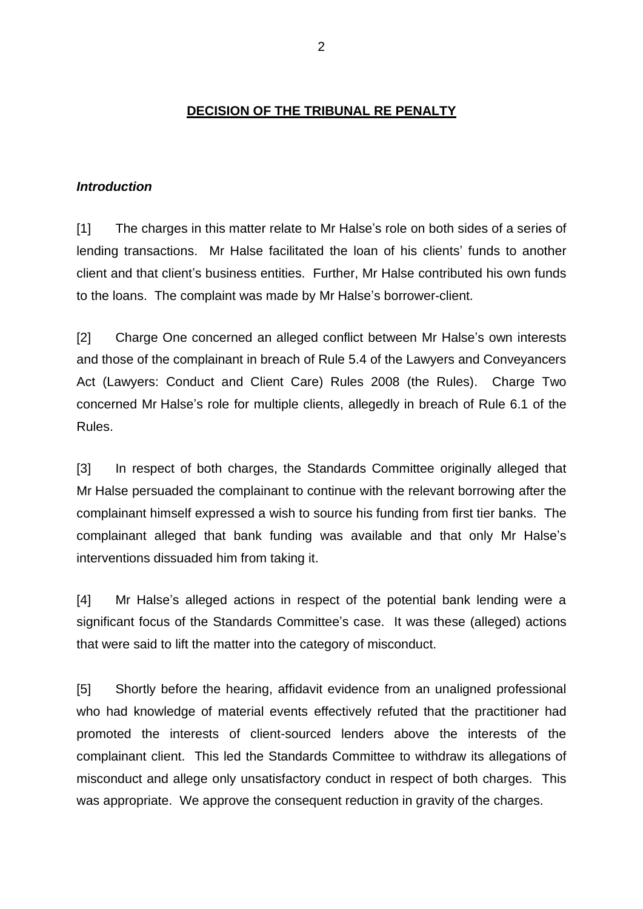#### **DECISION OF THE TRIBUNAL RE PENALTY**

#### *Introduction*

[1] The charges in this matter relate to Mr Halse's role on both sides of a series of lending transactions. Mr Halse facilitated the loan of his clients' funds to another client and that client's business entities. Further, Mr Halse contributed his own funds to the loans. The complaint was made by Mr Halse's borrower-client.

[2] Charge One concerned an alleged conflict between Mr Halse's own interests and those of the complainant in breach of Rule 5.4 of the Lawyers and Conveyancers Act (Lawyers: Conduct and Client Care) Rules 2008 (the Rules). Charge Two concerned Mr Halse's role for multiple clients, allegedly in breach of Rule 6.1 of the Rules.

[3] In respect of both charges, the Standards Committee originally alleged that Mr Halse persuaded the complainant to continue with the relevant borrowing after the complainant himself expressed a wish to source his funding from first tier banks. The complainant alleged that bank funding was available and that only Mr Halse's interventions dissuaded him from taking it.

[4] Mr Halse's alleged actions in respect of the potential bank lending were a significant focus of the Standards Committee's case. It was these (alleged) actions that were said to lift the matter into the category of misconduct.

[5] Shortly before the hearing, affidavit evidence from an unaligned professional who had knowledge of material events effectively refuted that the practitioner had promoted the interests of client-sourced lenders above the interests of the complainant client. This led the Standards Committee to withdraw its allegations of misconduct and allege only unsatisfactory conduct in respect of both charges. This was appropriate. We approve the consequent reduction in gravity of the charges.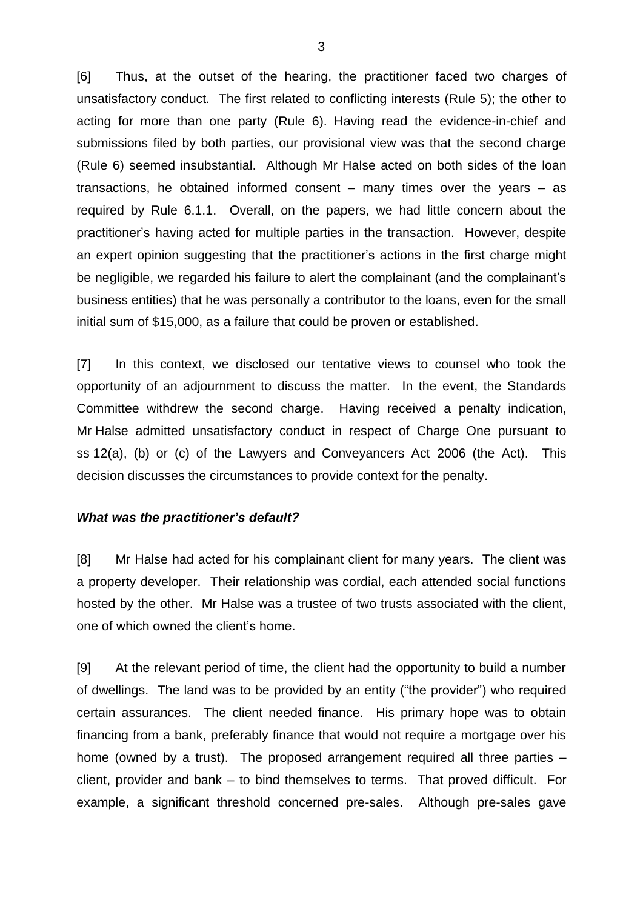[6] Thus, at the outset of the hearing, the practitioner faced two charges of unsatisfactory conduct. The first related to conflicting interests (Rule 5); the other to acting for more than one party (Rule 6). Having read the evidence-in-chief and submissions filed by both parties, our provisional view was that the second charge (Rule 6) seemed insubstantial. Although Mr Halse acted on both sides of the loan transactions, he obtained informed consent  $-$  many times over the years  $-$  as required by Rule 6.1.1. Overall, on the papers, we had little concern about the practitioner's having acted for multiple parties in the transaction. However, despite an expert opinion suggesting that the practitioner's actions in the first charge might be negligible, we regarded his failure to alert the complainant (and the complainant's business entities) that he was personally a contributor to the loans, even for the small initial sum of \$15,000, as a failure that could be proven or established.

[7] In this context, we disclosed our tentative views to counsel who took the opportunity of an adjournment to discuss the matter. In the event, the Standards Committee withdrew the second charge. Having received a penalty indication, Mr Halse admitted unsatisfactory conduct in respect of Charge One pursuant to ss 12(a), (b) or (c) of the Lawyers and Conveyancers Act 2006 (the Act). This decision discusses the circumstances to provide context for the penalty.

#### *What was the practitioner's default?*

[8] Mr Halse had acted for his complainant client for many years. The client was a property developer. Their relationship was cordial, each attended social functions hosted by the other. Mr Halse was a trustee of two trusts associated with the client, one of which owned the client's home.

[9] At the relevant period of time, the client had the opportunity to build a number of dwellings. The land was to be provided by an entity ("the provider") who required certain assurances. The client needed finance. His primary hope was to obtain financing from a bank, preferably finance that would not require a mortgage over his home (owned by a trust). The proposed arrangement required all three parties – client, provider and bank – to bind themselves to terms. That proved difficult. For example, a significant threshold concerned pre-sales. Although pre-sales gave

3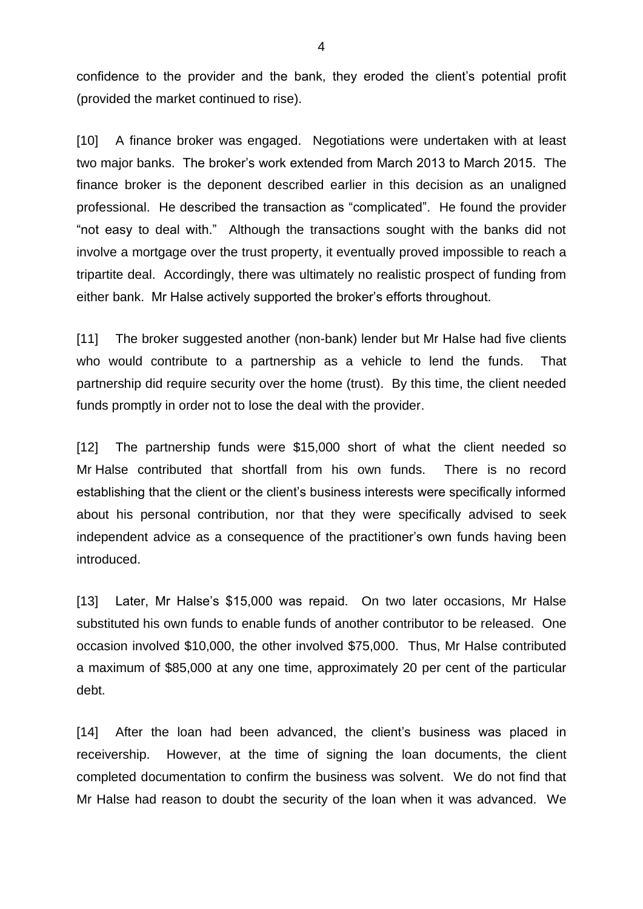confidence to the provider and the bank, they eroded the client's potential profit (provided the market continued to rise).

[10] A finance broker was engaged. Negotiations were undertaken with at least two major banks. The broker's work extended from March 2013 to March 2015. The finance broker is the deponent described earlier in this decision as an unaligned professional. He described the transaction as "complicated". He found the provider "not easy to deal with." Although the transactions sought with the banks did not involve a mortgage over the trust property, it eventually proved impossible to reach a tripartite deal. Accordingly, there was ultimately no realistic prospect of funding from either bank. Mr Halse actively supported the broker's efforts throughout.

[11] The broker suggested another (non-bank) lender but Mr Halse had five clients who would contribute to a partnership as a vehicle to lend the funds. That partnership did require security over the home (trust). By this time, the client needed funds promptly in order not to lose the deal with the provider.

[12] The partnership funds were \$15,000 short of what the client needed so Mr Halse contributed that shortfall from his own funds. There is no record establishing that the client or the client's business interests were specifically informed about his personal contribution, nor that they were specifically advised to seek independent advice as a consequence of the practitioner's own funds having been introduced.

[13] Later, Mr Halse's \$15,000 was repaid. On two later occasions, Mr Halse substituted his own funds to enable funds of another contributor to be released. One occasion involved \$10,000, the other involved \$75,000. Thus, Mr Halse contributed a maximum of \$85,000 at any one time, approximately 20 per cent of the particular debt.

[14] After the loan had been advanced, the client's business was placed in receivership. However, at the time of signing the loan documents, the client completed documentation to confirm the business was solvent. We do not find that Mr Halse had reason to doubt the security of the loan when it was advanced. We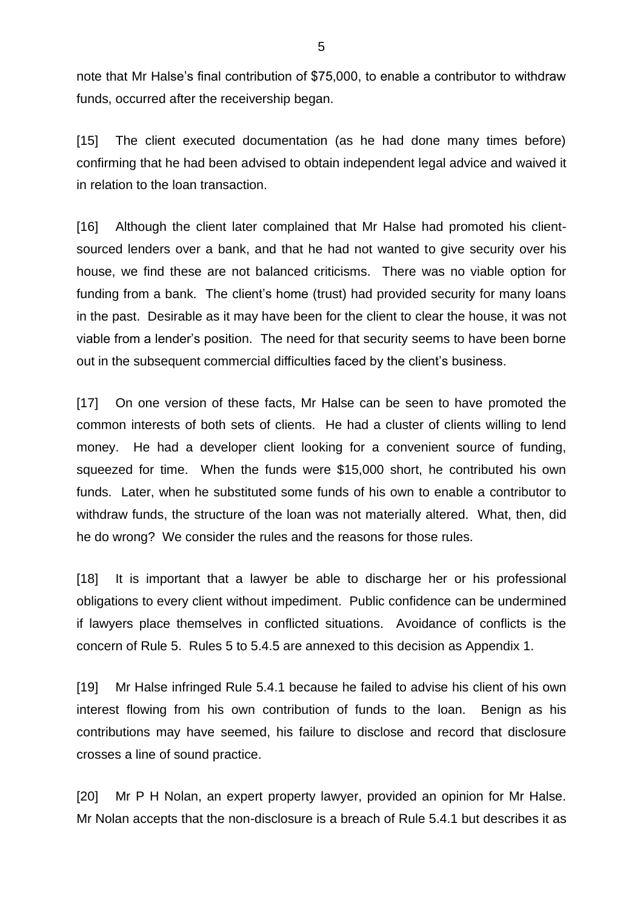note that Mr Halse's final contribution of \$75,000, to enable a contributor to withdraw funds, occurred after the receivership began.

[15] The client executed documentation (as he had done many times before) confirming that he had been advised to obtain independent legal advice and waived it in relation to the loan transaction.

[16] Although the client later complained that Mr Halse had promoted his clientsourced lenders over a bank, and that he had not wanted to give security over his house, we find these are not balanced criticisms. There was no viable option for funding from a bank. The client's home (trust) had provided security for many loans in the past. Desirable as it may have been for the client to clear the house, it was not viable from a lender's position. The need for that security seems to have been borne out in the subsequent commercial difficulties faced by the client's business.

[17] On one version of these facts, Mr Halse can be seen to have promoted the common interests of both sets of clients. He had a cluster of clients willing to lend money. He had a developer client looking for a convenient source of funding, squeezed for time. When the funds were \$15,000 short, he contributed his own funds. Later, when he substituted some funds of his own to enable a contributor to withdraw funds, the structure of the loan was not materially altered. What, then, did he do wrong? We consider the rules and the reasons for those rules.

[18] It is important that a lawyer be able to discharge her or his professional obligations to every client without impediment. Public confidence can be undermined if lawyers place themselves in conflicted situations. Avoidance of conflicts is the concern of Rule 5. Rules 5 to 5.4.5 are annexed to this decision as Appendix 1.

[19] Mr Halse infringed Rule 5.4.1 because he failed to advise his client of his own interest flowing from his own contribution of funds to the loan. Benign as his contributions may have seemed, his failure to disclose and record that disclosure crosses a line of sound practice.

[20] Mr P H Nolan, an expert property lawyer, provided an opinion for Mr Halse. Mr Nolan accepts that the non-disclosure is a breach of Rule 5.4.1 but describes it as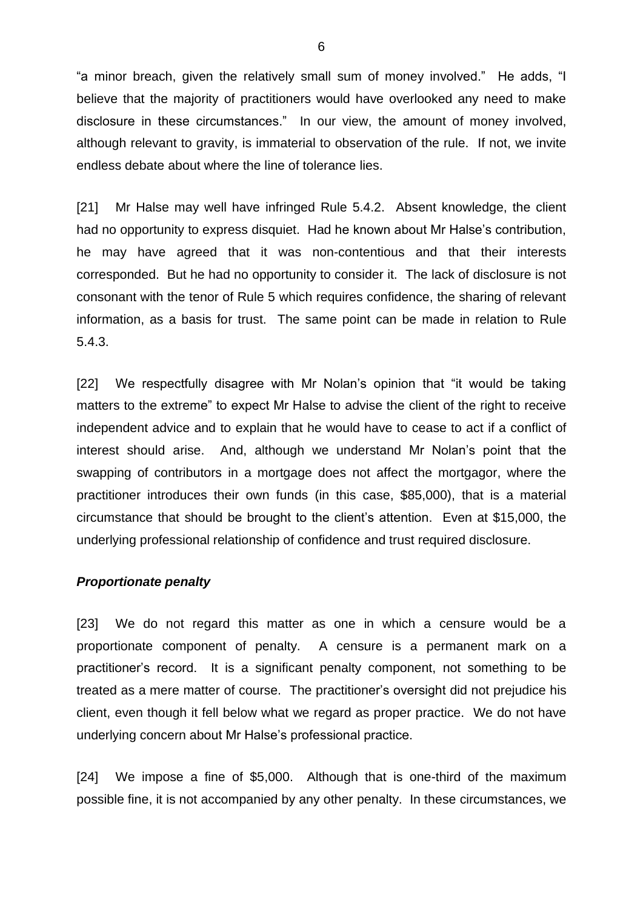"a minor breach, given the relatively small sum of money involved." He adds, "I believe that the majority of practitioners would have overlooked any need to make disclosure in these circumstances." In our view, the amount of money involved, although relevant to gravity, is immaterial to observation of the rule. If not, we invite endless debate about where the line of tolerance lies.

[21] Mr Halse may well have infringed Rule 5.4.2. Absent knowledge, the client had no opportunity to express disquiet. Had he known about Mr Halse's contribution, he may have agreed that it was non-contentious and that their interests corresponded. But he had no opportunity to consider it. The lack of disclosure is not consonant with the tenor of Rule 5 which requires confidence, the sharing of relevant information, as a basis for trust. The same point can be made in relation to Rule 5.4.3.

[22] We respectfully disagree with Mr Nolan's opinion that "it would be taking matters to the extreme" to expect Mr Halse to advise the client of the right to receive independent advice and to explain that he would have to cease to act if a conflict of interest should arise. And, although we understand Mr Nolan's point that the swapping of contributors in a mortgage does not affect the mortgagor, where the practitioner introduces their own funds (in this case, \$85,000), that is a material circumstance that should be brought to the client's attention. Even at \$15,000, the underlying professional relationship of confidence and trust required disclosure.

#### *Proportionate penalty*

[23] We do not regard this matter as one in which a censure would be a proportionate component of penalty. A censure is a permanent mark on a practitioner's record. It is a significant penalty component, not something to be treated as a mere matter of course. The practitioner's oversight did not prejudice his client, even though it fell below what we regard as proper practice. We do not have underlying concern about Mr Halse's professional practice.

[24] We impose a fine of \$5,000. Although that is one-third of the maximum possible fine, it is not accompanied by any other penalty. In these circumstances, we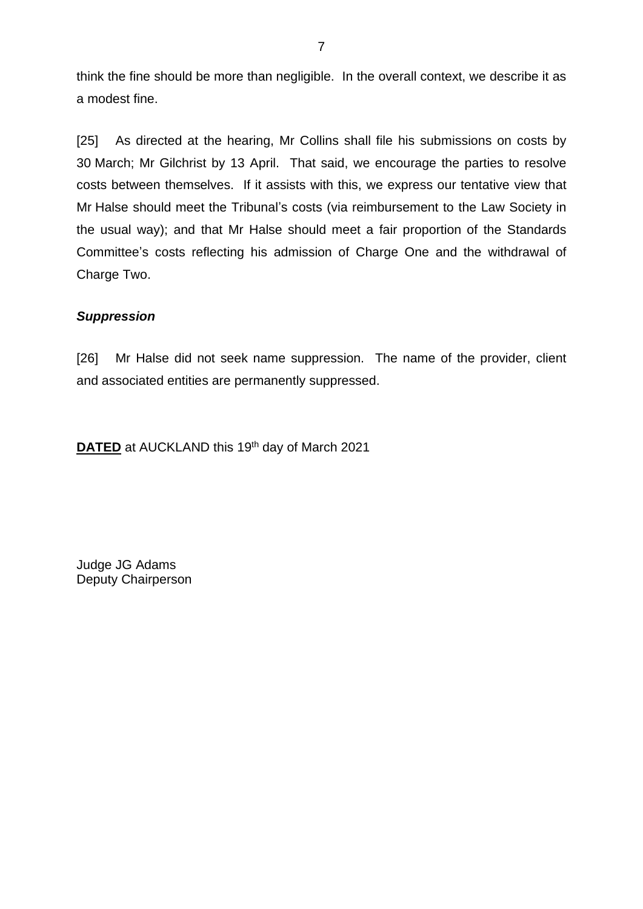think the fine should be more than negligible. In the overall context, we describe it as a modest fine.

[25] As directed at the hearing, Mr Collins shall file his submissions on costs by 30 March; Mr Gilchrist by 13 April. That said, we encourage the parties to resolve costs between themselves. If it assists with this, we express our tentative view that Mr Halse should meet the Tribunal's costs (via reimbursement to the Law Society in the usual way); and that Mr Halse should meet a fair proportion of the Standards Committee's costs reflecting his admission of Charge One and the withdrawal of Charge Two.

#### *Suppression*

[26] Mr Halse did not seek name suppression. The name of the provider, client and associated entities are permanently suppressed.

**DATED** at AUCKLAND this 19<sup>th</sup> day of March 2021

Judge JG Adams Deputy Chairperson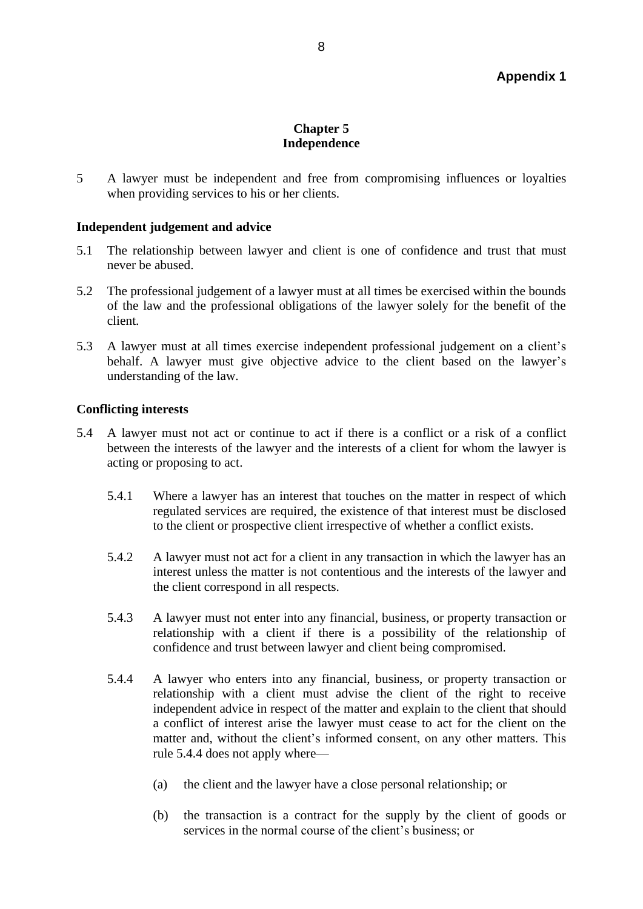#### **Chapter 5 Independence**

5 A lawyer must be independent and free from compromising influences or loyalties when providing services to his or her clients.

#### **Independent judgement and advice**

- 5.1 The relationship between lawyer and client is one of confidence and trust that must never be abused.
- 5.2 The professional judgement of a lawyer must at all times be exercised within the bounds of the law and the professional obligations of the lawyer solely for the benefit of the client.
- 5.3 A lawyer must at all times exercise independent professional judgement on a client's behalf. A lawyer must give objective advice to the client based on the lawyer's understanding of the law.

#### **Conflicting interests**

- 5.4 A lawyer must not act or continue to act if there is a conflict or a risk of a conflict between the interests of the lawyer and the interests of a client for whom the lawyer is acting or proposing to act.
	- 5.4.1 Where a lawyer has an interest that touches on the matter in respect of which regulated services are required, the existence of that interest must be disclosed to the client or prospective client irrespective of whether a conflict exists.
	- 5.4.2 A lawyer must not act for a client in any transaction in which the lawyer has an interest unless the matter is not contentious and the interests of the lawyer and the client correspond in all respects.
	- 5.4.3 A lawyer must not enter into any financial, business, or property transaction or relationship with a client if there is a possibility of the relationship of confidence and trust between lawyer and client being compromised.
	- 5.4.4 A lawyer who enters into any financial, business, or property transaction or relationship with a client must advise the client of the right to receive independent advice in respect of the matter and explain to the client that should a conflict of interest arise the lawyer must cease to act for the client on the matter and, without the client's informed consent, on any other matters. This rule 5.4.4 does not apply where—
		- (a) the client and the lawyer have a close personal relationship; or
		- (b) the transaction is a contract for the supply by the client of goods or services in the normal course of the client's business; or